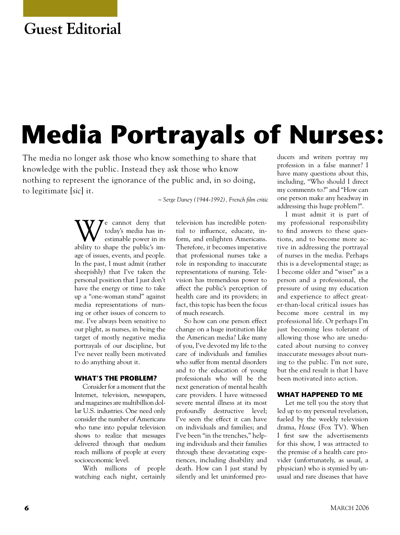# **Guest Editorial**

# **Media Portrayals of Nurses:**

The media no longer ask those who know something to share that knowledge with the public. Instead they ask those who know nothing to represent the ignorance of the public and, in so doing, to legitimate [*sic*] it.

*~ Serge Daney (1944-1992), French film critic*

We cannot deny that<br>estimable power in its<br>estimate the position today's media has inestimable power in its ability to shape the public's image of issues, events, and people. In the past, I must admit (rather sheepishly) that I've taken the personal position that I just don't have the energy or time to take up a "one-woman stand" against media representations of nursing or other issues of concern to me. I've always been sensitive to our plight, as nurses, in being the target of mostly negative media portrayals of our discipline, but I've never really been motivated to do anything about it.

### **WHAT'S THE PROBLEM?**

Consider for a moment that the Internet, television, newspapers, and magazines are multibillion dollar U.S. industries. One need only consider the number of Americans who tune into popular television shows to realize that messages delivered through that medium reach millions of people at every socioeconomic level.

With millions of people watching each night, certainly

television has incredible potential to influence, educate, inform, and enlighten Americans. Therefore, it becomes imperative that professional nurses take a role in responding to inaccurate representations of nursing. Television has tremendous power to affect the public's perception of health care and its providers; in fact, this topic has been the focus of much research.

So how can one person effect change on a huge institution like the American media? Like many of you, I've devoted my life to the care of individuals and families who suffer from mental disorders and to the education of young professionals who will be the next generation of mental health care providers. I have witnessed severe mental illness at its most profoundly destructive level; I've seen the effect it can have on individuals and families; and I've been "in the trenches," helping individuals and their families through these devastating experiences, including disability and death. How can I just stand by silently and let uninformed producers and writers portray my profession in a false manner? I have many questions about this, including, "Who should I direct my comments to?" and "How can one person make any headway in addressing this huge problem?".

I must admit it is part of my professional responsibility to find answers to these questions, and to become more active in addressing the portrayal of nurses in the media. Perhaps this is a developmental stage; as I become older and "wiser" as a person and a professional, the pressure of using my education and experience to affect greater-than-local critical issues has become more central in my professional life. Or perhaps I'm just becoming less tolerant of allowing those who are uneducated about nursing to convey inaccurate messages about nursing to the public. I'm not sure, but the end result is that I have been motivated into action.

## **WHAT HAPPENED TO ME**

Let me tell you the story that led up to my personal revelation, fueled by the weekly television drama, *House* (Fox TV). When I first saw the advertisements for this show, I was attracted to the premise of a health care provider (unfortunately, as usual, a physician) who is stymied by unusual and rare diseases that have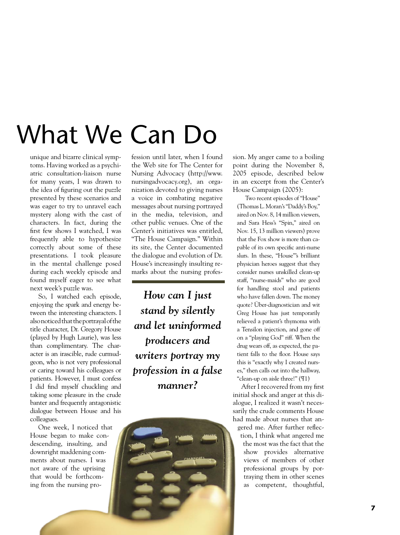# **What We Can Do**

unique and bizarre clinical symptoms. Having worked as a psychiatric consultation-liaison nurse for many years, I was drawn to the idea of figuring out the puzzle presented by these scenarios and was eager to try to unravel each mystery along with the cast of characters. In fact, during the first few shows I watched, I was frequently able to hypothesize correctly about some of these presentations. I took pleasure in the mental challenge posed during each weekly episode and found myself eager to see what next week's puzzle was.

So, I watched each episode, enjoying the spark and energy between the interesting characters. I also noticed that the portrayal of the title character, Dr. Gregory House (played by Hugh Laurie), was less than complimentary. The character is an irascible, rude curmudgeon, who is not very professional or caring toward his colleagues or patients. However, I must confess I did find myself chuckling and taking some pleasure in the crude banter and frequently antagonistic dialogue between House and his colleagues.

One week, I noticed that House began to make condescending, insulting, and downright maddening comments about nurses. I was not aware of the uprising that would be forthcoming from the nursing pro-

fession until later, when I found the Web site for The Center for Nursing Advocacy (http://www. nursingadvocacy.org), an organization devoted to giving nurses a voice in combating negative messages about nursing portrayed in the media, television, and other public venues. One of the Center's initiatives was entitled, "The House Campaign." Within its site, the Center documented the dialogue and evolution of Dr. House's increasingly insulting remarks about the nursing profes-

*How can I just stand by silently and let uninformed producers and writers portray my profession in a false manner?*



sion. My anger came to a boiling point during the November 8, 2005 episode, described below in an excerpt from the Center's House Campaign (2005):

Two recent episodes of "House" (Thomas L. Moran's "Daddy's Boy," aired on Nov. 8, 14 million viewers, and Sara Hess's "Spin," aired on Nov. 15, 13 million viewers) prove that the Fox show is more than capable of its own specific anti-nurse slurs. In these, "House"'s brilliant physician heroes suggest that they consider nurses unskilled clean-up staff, "nurse-maids" who are good for handling stool and patients who have fallen down. The money quote? Über-diagnostician and wit Greg House has just temporarily relieved a patient's thymoma with a Tensilon injection, and gone off on a "playing God" riff. When the drug wears off, as expected, the patient falls to the floor. House says this is "exactly why I created nurses," then calls out into the hallway, "clean-up on aisle three!" (¶1)

After I recovered from my first initial shock and anger at this dialogue, I realized it wasn't necessarily the crude comments House had made about nurses that angered me. After further reflection, I think what angered me the most was the fact that the show provides alternative views of members of other professional groups by por-

> traying them in other scenes as competent, thoughtful,